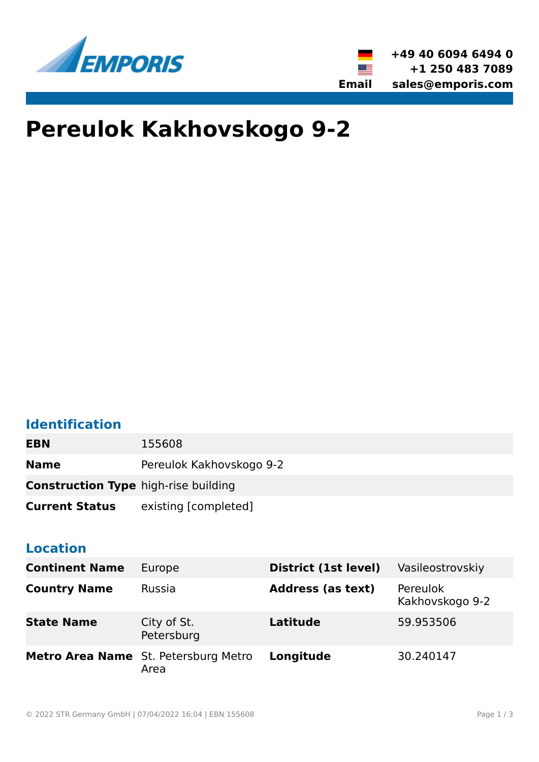



# **Pereulok Kakhovskogo 9-2**

### **Identification**

| <b>EBN</b>                                  | 155608                   |
|---------------------------------------------|--------------------------|
| <b>Name</b>                                 | Pereulok Kakhovskogo 9-2 |
| <b>Construction Type high-rise building</b> |                          |
| <b>Current Status</b>                       | existing [completed]     |

#### **Location**

| <b>Continent Name</b> | Europe                                       | District (1st level)     | Vasileostrovskiy            |
|-----------------------|----------------------------------------------|--------------------------|-----------------------------|
| <b>Country Name</b>   | <b>Russia</b>                                | <b>Address (as text)</b> | Pereulok<br>Kakhovskogo 9-2 |
| <b>State Name</b>     | City of St.<br>Petersburg                    | Latitude                 | 59.953506                   |
|                       | Metro Area Name St. Petersburg Metro<br>Area | Longitude                | 30.240147                   |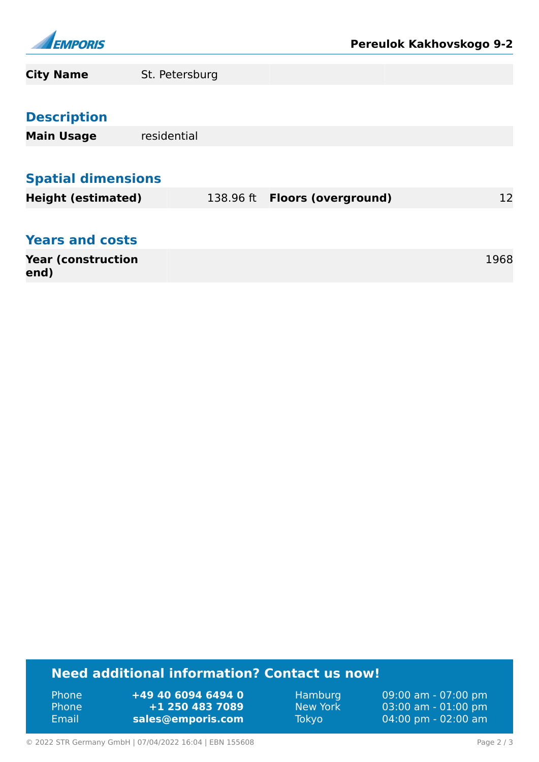

| <b>City Name</b>                  | St. Petersburg |  |                                |      |    |  |
|-----------------------------------|----------------|--|--------------------------------|------|----|--|
| <b>Description</b>                |                |  |                                |      |    |  |
| <b>Main Usage</b>                 | residential    |  |                                |      |    |  |
| <b>Spatial dimensions</b>         |                |  |                                |      |    |  |
| <b>Height (estimated)</b>         |                |  | 138.96 ft  Floors (overground) |      | 12 |  |
| <b>Years and costs</b>            |                |  |                                |      |    |  |
| <b>Year (construction</b><br>end) |                |  |                                | 1968 |    |  |

## **Need additional information? Contact us now!**

Phone **+49 40 6094 6494 0**<br>Phone **+1 250 483 7089** Phone **+1 250 483 7089** Email **<sales@emporis.com>**

Hamburg 09:00 am - 07:00 pm<br>New York 03:00 am - 01:00 pm New York 03:00 am - 01:00 pm<br>Tokyo 04:00 pm - 02:00 am 04:00 pm - 02:00 am